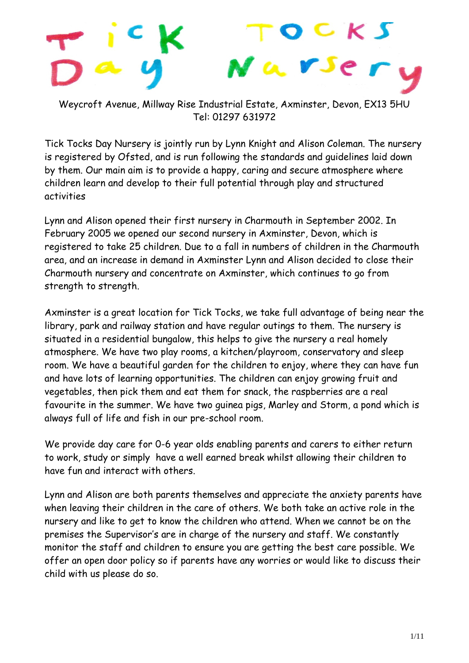# C K N a V Je

Weycroft Avenue, Millway Rise Industrial Estate, Axminster, Devon, EX13 5HU Tel: 01297 631972

Tick Tocks Day Nursery is jointly run by Lynn Knight and Alison Coleman. The nursery is registered by Ofsted, and is run following the standards and guidelines laid down by them. Our main aim is to provide a happy, caring and secure atmosphere where children learn and develop to their full potential through play and structured activities

Lynn and Alison opened their first nursery in Charmouth in September 2002. In February 2005 we opened our second nursery in Axminster, Devon, which is registered to take 25 children. Due to a fall in numbers of children in the Charmouth area, and an increase in demand in Axminster Lynn and Alison decided to close their Charmouth nursery and concentrate on Axminster, which continues to go from strength to strength.

Axminster is a great location for Tick Tocks, we take full advantage of being near the library, park and railway station and have regular outings to them. The nursery is situated in a residential bungalow, this helps to give the nursery a real homely atmosphere. We have two play rooms, a kitchen/playroom, conservatory and sleep room. We have a beautiful garden for the children to enjoy, where they can have fun and have lots of learning opportunities. The children can enjoy growing fruit and vegetables, then pick them and eat them for snack, the raspberries are a real favourite in the summer. We have two guinea pigs, Marley and Storm, a pond which is always full of life and fish in our pre-school room.

We provide day care for 0-6 year olds enabling parents and carers to either return to work, study or simply have a well earned break whilst allowing their children to have fun and interact with others.

Lynn and Alison are both parents themselves and appreciate the anxiety parents have when leaving their children in the care of others. We both take an active role in the nursery and like to get to know the children who attend. When we cannot be on the premises the Supervisor's are in charge of the nursery and staff. We constantly monitor the staff and children to ensure you are getting the best care possible. We offer an open door policy so if parents have any worries or would like to discuss their child with us please do so.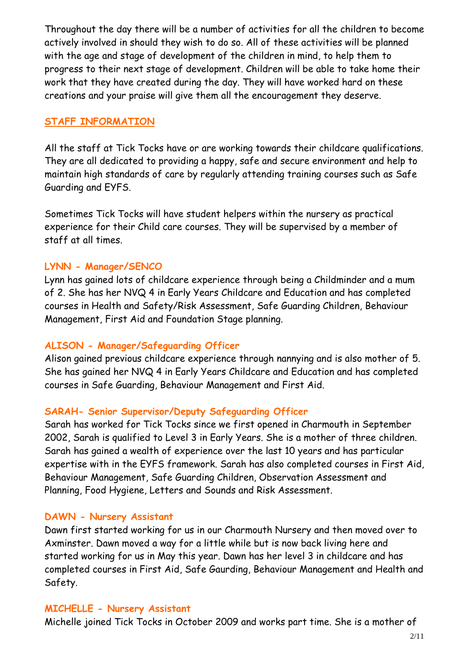Throughout the day there will be a number of activities for all the children to become actively involved in should they wish to do so. All of these activities will be planned with the age and stage of development of the children in mind, to help them to progress to their next stage of development. Children will be able to take home their work that they have created during the day. They will have worked hard on these creations and your praise will give them all the encouragement they deserve.

#### **STAFF INFORMATION**

All the staff at Tick Tocks have or are working towards their childcare qualifications. They are all dedicated to providing a happy, safe and secure environment and help to maintain high standards of care by regularly attending training courses such as Safe Guarding and EYFS.

Sometimes Tick Tocks will have student helpers within the nursery as practical experience for their Child care courses. They will be supervised by a member of staff at all times.

#### **LYNN - Manager/SENCO**

Lynn has gained lots of childcare experience through being a Childminder and a mum of 2. She has her NVQ 4 in Early Years Childcare and Education and has completed courses in Health and Safety/Risk Assessment, Safe Guarding Children, Behaviour Management, First Aid and Foundation Stage planning.

# **ALISON - Manager/Safeguarding Officer**

Alison gained previous childcare experience through nannying and is also mother of 5. She has gained her NVQ 4 in Early Years Childcare and Education and has completed courses in Safe Guarding, Behaviour Management and First Aid.

# **SARAH- Senior Supervisor/Deputy Safeguarding Officer**

Sarah has worked for Tick Tocks since we first opened in Charmouth in September 2002, Sarah is qualified to Level 3 in Early Years. She is a mother of three children. Sarah has gained a wealth of experience over the last 10 years and has particular expertise with in the EYFS framework. Sarah has also completed courses in First Aid, Behaviour Management, Safe Guarding Children, Observation Assessment and Planning, Food Hygiene, Letters and Sounds and Risk Assessment.

# **DAWN - Nursery Assistant**

Dawn first started working for us in our Charmouth Nursery and then moved over to Axminster. Dawn moved a way for a little while but is now back living here and started working for us in May this year. Dawn has her level 3 in childcare and has completed courses in First Aid, Safe Gaurding, Behaviour Management and Health and Safety.

#### **MICHELLE - Nursery Assistant**

Michelle joined Tick Tocks in October 2009 and works part time. She is a mother of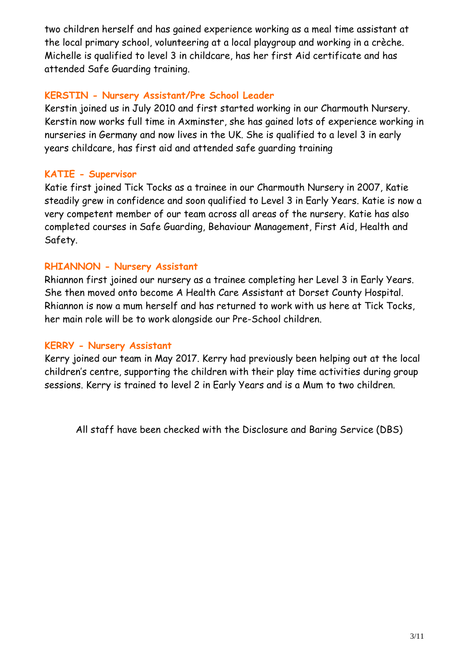two children herself and has gained experience working as a meal time assistant at the local primary school, volunteering at a local playgroup and working in a crèche. Michelle is qualified to level 3 in childcare, has her first Aid certificate and has attended Safe Guarding training.

#### **KERSTIN - Nursery Assistant/Pre School Leader**

Kerstin joined us in July 2010 and first started working in our Charmouth Nursery. Kerstin now works full time in Axminster, she has gained lots of experience working in nurseries in Germany and now lives in the UK. She is qualified to a level 3 in early years childcare, has first aid and attended safe guarding training

# **KATIE - Supervisor**

Katie first joined Tick Tocks as a trainee in our Charmouth Nursery in 2007, Katie steadily grew in confidence and soon qualified to Level 3 in Early Years. Katie is now a very competent member of our team across all areas of the nursery. Katie has also completed courses in Safe Guarding, Behaviour Management, First Aid, Health and Safety.

# **RHIANNON - Nursery Assistant**

Rhiannon first joined our nursery as a trainee completing her Level 3 in Early Years. She then moved onto become A Health Care Assistant at Dorset County Hospital. Rhiannon is now a mum herself and has returned to work with us here at Tick Tocks, her main role will be to work alongside our Pre-School children.

# **KERRY - Nursery Assistant**

Kerry joined our team in May 2017. Kerry had previously been helping out at the local children's centre, supporting the children with their play time activities during group sessions. Kerry is trained to level 2 in Early Years and is a Mum to two children.

All staff have been checked with the Disclosure and Baring Service (DBS)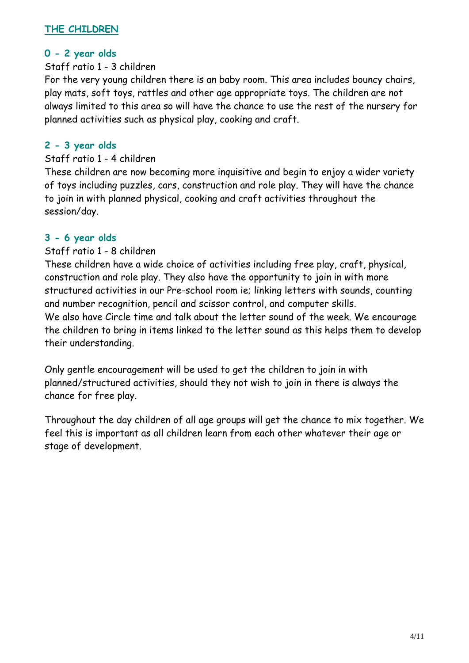#### **THE CHILDREN**

# **0 - 2 year olds**

#### Staff ratio 1 - 3 children

For the very young children there is an baby room. This area includes bouncy chairs, play mats, soft toys, rattles and other age appropriate toys. The children are not always limited to this area so will have the chance to use the rest of the nursery for planned activities such as physical play, cooking and craft.

#### **2 - 3 year olds**

#### Staff ratio 1 - 4 children

These children are now becoming more inquisitive and begin to enjoy a wider variety of toys including puzzles, cars, construction and role play. They will have the chance to join in with planned physical, cooking and craft activities throughout the session/day.

#### **3 - 6 year olds**

#### Staff ratio 1 - 8 children

These children have a wide choice of activities including free play, craft, physical, construction and role play. They also have the opportunity to join in with more structured activities in our Pre-school room ie; linking letters with sounds, counting and number recognition, pencil and scissor control, and computer skills. We also have Circle time and talk about the letter sound of the week. We encourage the children to bring in items linked to the letter sound as this helps them to develop their understanding.

Only gentle encouragement will be used to get the children to join in with planned/structured activities, should they not wish to join in there is always the chance for free play.

Throughout the day children of all age groups will get the chance to mix together. We feel this is important as all children learn from each other whatever their age or stage of development.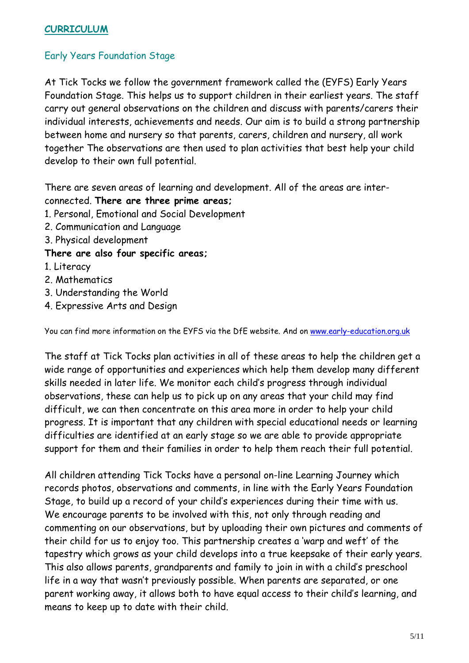#### **CURRICULUM**

# Early Years Foundation Stage

At Tick Tocks we follow the government framework called the (EYFS) Early Years Foundation Stage. This helps us to support children in their earliest years. The staff carry out general observations on the children and discuss with parents/carers their individual interests, achievements and needs. Our aim is to build a strong partnership between home and nursery so that parents, carers, children and nursery, all work together The observations are then used to plan activities that best help your child develop to their own full potential.

There are seven areas of learning and development. All of the areas are interconnected. **There are three prime areas;**

- 1. Personal, Emotional and Social Development
- 2. Communication and Language
- 3. Physical development

#### **There are also four specific areas;**

- 1. Literacy
- 2. Mathematics
- 3. Understanding the World
- 4. Expressive Arts and Design

You can find more information on the EYFS via the DfE website. And on [www.early-education.org.uk](http://www.early-education.org.uk/)

The staff at Tick Tocks plan activities in all of these areas to help the children get a wide range of opportunities and experiences which help them develop many different skills needed in later life. We monitor each child's progress through individual observations, these can help us to pick up on any areas that your child may find difficult, we can then concentrate on this area more in order to help your child progress. It is important that any children with special educational needs or learning difficulties are identified at an early stage so we are able to provide appropriate support for them and their families in order to help them reach their full potential.

All children attending Tick Tocks have a personal on-line Learning Journey which records photos, observations and comments, in line with the Early Years Foundation Stage, to build up a record of your child's experiences during their time with us. We encourage parents to be involved with this, not only through reading and commenting on our observations, but by uploading their own pictures and comments of their child for us to enjoy too. This partnership creates a 'warp and weft' of the tapestry which grows as your child develops into a true keepsake of their early years. This also allows parents, grandparents and family to join in with a child's preschool life in a way that wasn't previously possible. When parents are separated, or one parent working away, it allows both to have equal access to their child's learning, and means to keep up to date with their child.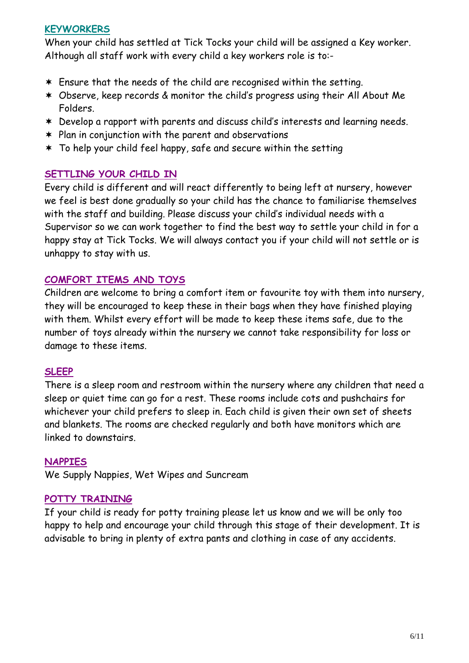#### **KEYWORKERS**

When your child has settled at Tick Tocks your child will be assigned a Key worker. Although all staff work with every child a key workers role is to:-

- Ensure that the needs of the child are recognised within the setting.
- Observe, keep records & monitor the child's progress using their All About Me Folders.
- Develop a rapport with parents and discuss child's interests and learning needs.
- $*$  Plan in conjunction with the parent and observations
- To help your child feel happy, safe and secure within the setting

# **SETTLING YOUR CHILD IN**

Every child is different and will react differently to being left at nursery, however we feel is best done gradually so your child has the chance to familiarise themselves with the staff and building. Please discuss your child's individual needs with a Supervisor so we can work together to find the best way to settle your child in for a happy stay at Tick Tocks. We will always contact you if your child will not settle or is unhappy to stay with us.

# **COMFORT ITEMS AND TOYS**

Children are welcome to bring a comfort item or favourite toy with them into nursery, they will be encouraged to keep these in their bags when they have finished playing with them. Whilst every effort will be made to keep these items safe, due to the number of toys already within the nursery we cannot take responsibility for loss or damage to these items.

# **SLEEP**

There is a sleep room and restroom within the nursery where any children that need a sleep or quiet time can go for a rest. These rooms include cots and pushchairs for whichever your child prefers to sleep in. Each child is given their own set of sheets and blankets. The rooms are checked regularly and both have monitors which are linked to downstairs.

#### **NAPPIES**

We Supply Nappies, Wet Wipes and Suncream

# **POTTY TRAINING**

If your child is ready for potty training please let us know and we will be only too happy to help and encourage your child through this stage of their development. It is advisable to bring in plenty of extra pants and clothing in case of any accidents.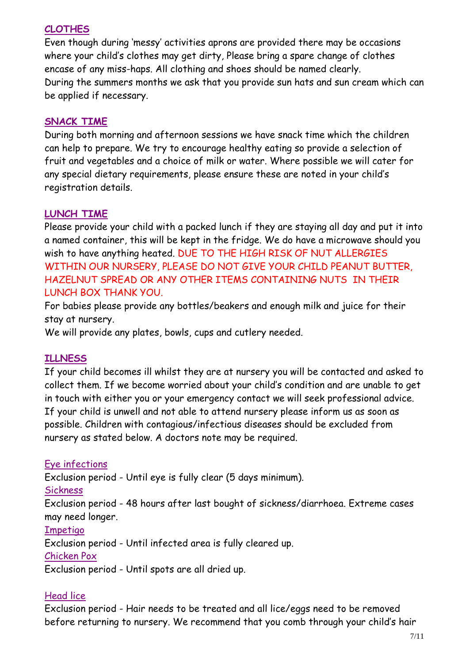# **CLOTHES**

Even though during 'messy' activities aprons are provided there may be occasions where your child's clothes may get dirty, Please bring a spare change of clothes encase of any miss-haps. All clothing and shoes should be named clearly. During the summers months we ask that you provide sun hats and sun cream which can be applied if necessary.

# **SNACK TIME**

During both morning and afternoon sessions we have snack time which the children can help to prepare. We try to encourage healthy eating so provide a selection of fruit and vegetables and a choice of milk or water. Where possible we will cater for any special dietary requirements, please ensure these are noted in your child's registration details.

# **LUNCH TIME**

Please provide your child with a packed lunch if they are staying all day and put it into a named container, this will be kept in the fridge. We do have a microwave should you wish to have anything heated. DUE TO THE HIGH RISK OF NUT ALLERGIES WITHIN OUR NURSERY, PLEASE DO NOT GIVE YOUR CHILD PEANUT BUTTER, HAZELNUT SPREAD OR ANY OTHER ITEMS CONTAINING NUTS IN THEIR LUNCH BOX THANK YOU.

For babies please provide any bottles/beakers and enough milk and juice for their stay at nursery.

We will provide any plates, bowls, cups and cutlery needed.

# **ILLNESS**

If your child becomes ill whilst they are at nursery you will be contacted and asked to collect them. If we become worried about your child's condition and are unable to get in touch with either you or your emergency contact we will seek professional advice. If your child is unwell and not able to attend nursery please inform us as soon as possible. Children with contagious/infectious diseases should be excluded from nursery as stated below. A doctors note may be required.

# Eye infections

Exclusion period - Until eye is fully clear (5 days minimum).

#### Sickness

Exclusion period - 48 hours after last bought of sickness/diarrhoea. Extreme cases may need longer.

#### Impetigo

Exclusion period - Until infected area is fully cleared up.

#### Chicken Pox

Exclusion period - Until spots are all dried up.

# Head lice

Exclusion period - Hair needs to be treated and all lice/eggs need to be removed before returning to nursery. We recommend that you comb through your child's hair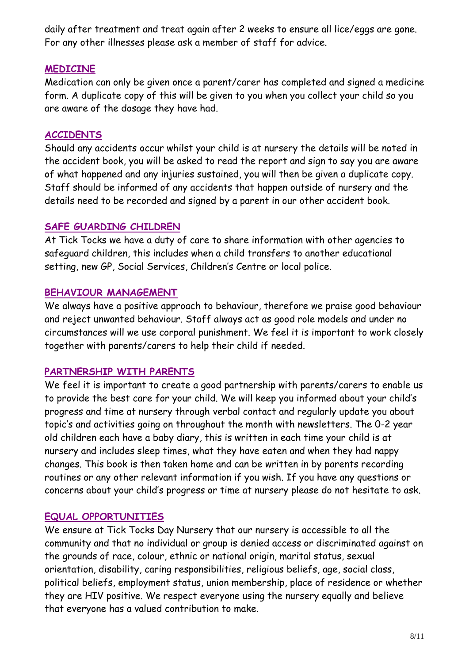daily after treatment and treat again after 2 weeks to ensure all lice/eggs are gone. For any other illnesses please ask a member of staff for advice.

#### **MEDICINE**

Medication can only be given once a parent/carer has completed and signed a medicine form. A duplicate copy of this will be given to you when you collect your child so you are aware of the dosage they have had.

# **ACCIDENTS**

Should any accidents occur whilst your child is at nursery the details will be noted in the accident book, you will be asked to read the report and sign to say you are aware of what happened and any injuries sustained, you will then be given a duplicate copy. Staff should be informed of any accidents that happen outside of nursery and the details need to be recorded and signed by a parent in our other accident book.

# **SAFE GUARDING CHILDREN**

At Tick Tocks we have a duty of care to share information with other agencies to safeguard children, this includes when a child transfers to another educational setting, new GP, Social Services, Children's Centre or local police.

# **BEHAVIOUR MANAGEMENT**

We always have a positive approach to behaviour, therefore we praise good behaviour and reject unwanted behaviour. Staff always act as good role models and under no circumstances will we use corporal punishment. We feel it is important to work closely together with parents/carers to help their child if needed.

# **PARTNERSHIP WITH PARENTS**

We feel it is important to create a good partnership with parents/carers to enable us to provide the best care for your child. We will keep you informed about your child's progress and time at nursery through verbal contact and regularly update you about topic's and activities going on throughout the month with newsletters. The 0-2 year old children each have a baby diary, this is written in each time your child is at nursery and includes sleep times, what they have eaten and when they had nappy changes. This book is then taken home and can be written in by parents recording routines or any other relevant information if you wish. If you have any questions or concerns about your child's progress or time at nursery please do not hesitate to ask.

# **EQUAL OPPORTUNITIES**

We ensure at Tick Tocks Day Nursery that our nursery is accessible to all the community and that no individual or group is denied access or discriminated against on the grounds of race, colour, ethnic or national origin, marital status, sexual orientation, disability, caring responsibilities, religious beliefs, age, social class, political beliefs, employment status, union membership, place of residence or whether they are HIV positive. We respect everyone using the nursery equally and believe that everyone has a valued contribution to make.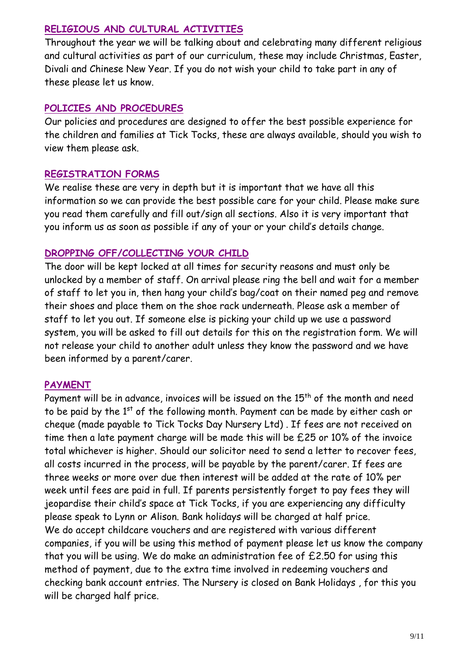# **RELIGIOUS AND CULTURAL ACTIVITIES**

Throughout the year we will be talking about and celebrating many different religious and cultural activities as part of our curriculum, these may include Christmas, Easter, Divali and Chinese New Year. If you do not wish your child to take part in any of these please let us know.

# **POLICIES AND PROCEDURES**

Our policies and procedures are designed to offer the best possible experience for the children and families at Tick Tocks, these are always available, should you wish to view them please ask.

# **REGISTRATION FORMS**

We realise these are very in depth but it is important that we have all this information so we can provide the best possible care for your child. Please make sure you read them carefully and fill out/sign all sections. Also it is very important that you inform us as soon as possible if any of your or your child's details change.

# **DROPPING OFF/COLLECTING YOUR CHILD**

The door will be kept locked at all times for security reasons and must only be unlocked by a member of staff. On arrival please ring the bell and wait for a member of staff to let you in, then hang your child's bag/coat on their named peg and remove their shoes and place them on the shoe rack underneath. Please ask a member of staff to let you out. If someone else is picking your child up we use a password system, you will be asked to fill out details for this on the registration form. We will not release your child to another adult unless they know the password and we have been informed by a parent/carer.

# **PAYMENT**

Payment will be in advance, invoices will be issued on the  $15<sup>th</sup>$  of the month and need to be paid by the 1<sup>st</sup> of the following month. Payment can be made by either cash or cheque (made payable to Tick Tocks Day Nursery Ltd) . If fees are not received on time then a late payment charge will be made this will be £25 or 10% of the invoice total whichever is higher. Should our solicitor need to send a letter to recover fees, all costs incurred in the process, will be payable by the parent/carer. If fees are three weeks or more over due then interest will be added at the rate of 10% per week until fees are paid in full. If parents persistently forget to pay fees they will jeopardise their child's space at Tick Tocks, if you are experiencing any difficulty please speak to Lynn or Alison. Bank holidays will be charged at half price. We do accept childcare vouchers and are registered with various different companies, if you will be using this method of payment please let us know the company that you will be using. We do make an administration fee of £2.50 for using this method of payment, due to the extra time involved in redeeming vouchers and checking bank account entries. The Nursery is closed on Bank Holidays , for this you will be charged half price.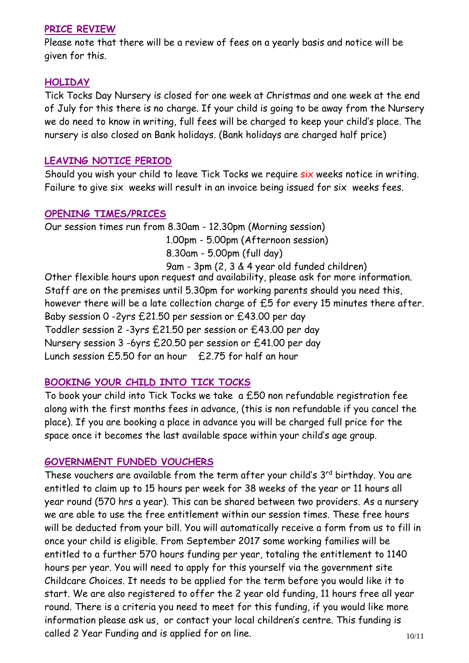#### **PRICE REVIEW**

Please note that there will be a review of fees on a yearly basis and notice will be given for this.

#### **HOLIDAY**

Tick Tocks Day Nursery is closed for one week at Christmas and one week at the end of July for this there is no charge. If your child is going to be away from the Nursery we do need to know in writing, full fees will be charged to keep your child's place. The nursery is also closed on Bank holidays. (Bank holidays are charged half price)

#### **LEAVING NOTICE PERIOD**

Should you wish your child to leave Tick Tocks we require six weeks notice in writing. Failure to give six weeks will result in an invoice being issued for six weeks fees.

#### **OPENING TIMES/PRICES**

Our session times run from 8.30am - 12.30pm (Morning session) 1.00pm - 5.00pm (Afternoon session) 8.30am - 5.00pm (full day) 9am - 3pm (2, 3 & 4 year old funded children) Other flexible hours upon request and availability, please ask for more information.

Staff are on the premises until 5.30pm for working parents should you need this, however there will be a late collection charge of £5 for every 15 minutes there after. Baby session 0 -2yrs £21.50 per session or £43.00 per day Toddler session 2 -3yrs £21.50 per session or £43.00 per day Nursery session 3 -6yrs £20.50 per session or £41.00 per day Lunch session £5.50 for an hour £2.75 for half an hour

# **BOOKING YOUR CHILD INTO TICK TOCKS**

To book your child into Tick Tocks we take a £50 non refundable registration fee along with the first months fees in advance, (this is non refundable if you cancel the place). If you are booking a place in advance you will be charged full price for the space once it becomes the last available space within your child's age group.

# **GOVERNMENT FUNDED VOUCHERS**

These vouchers are available from the term after your child's 3<sup>rd</sup> birthday. You are entitled to claim up to 15 hours per week for 38 weeks of the year or 11 hours all year round (570 hrs a year). This can be shared between two providers. As a nursery we are able to use the free entitlement within our session times. These free hours will be deducted from your bill. You will automatically receive a form from us to fill in once your child is eligible. From September 2017 some working families will be entitled to a further 570 hours funding per year, totaling the entitlement to 1140 hours per year. You will need to apply for this yourself via the government site Childcare Choices. It needs to be applied for the term before you would like it to start. We are also registered to offer the 2 year old funding, 11 hours free all year round. There is a criteria you need to meet for this funding, if you would like more information please ask us, or contact your local children's centre. This funding is called 2 Year Funding and is applied for on line.